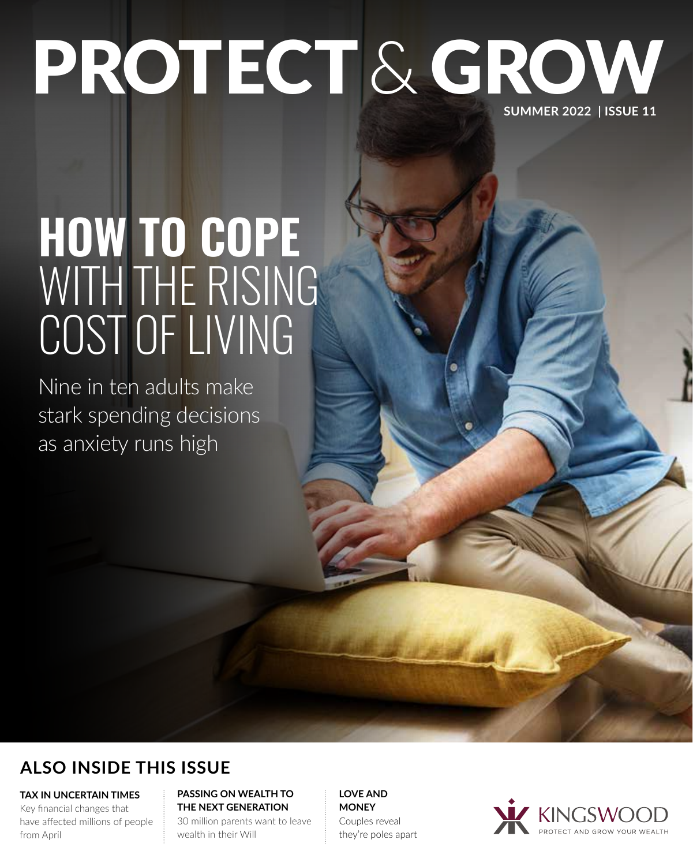# PROTECT & GROW **SUMMER 2022 | ISSUE 11**

# **HOW TO COPE**  WITH THE RISING COST OF LIVING

Nine in ten adults make stark spending decisions as anxiety runs high

## **ALSO INSIDE THIS ISSUE**

**TAX IN UNCERTAIN TIMES**

Key financial changes that have affected millions of people from April

#### **PASSING ON WEALTH TO THE NEXT GENERATION**

30 million parents want to leave wealth in their Will

**LOVE AND MONEY** Couples reveal they're poles apart

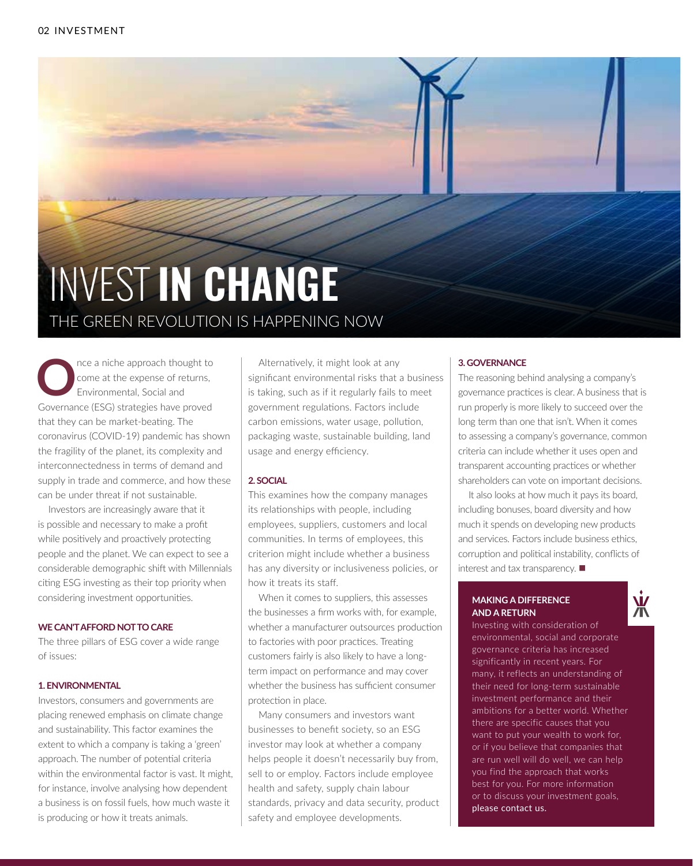

The aniche approach thought to<br> **O**nce at the expense of returns,<br>
Environmental, Social and<br>
Covernance (ESC) dentative have around come at the expense of returns, Environmental, Social and Governance (ESG) strategies have proved that they can be market-beating. The coronavirus (COVID-19) pandemic has shown the fragility of the planet, its complexity and interconnectedness in terms of demand and supply in trade and commerce, and how these can be under threat if not sustainable.

Investors are increasingly aware that it is possible and necessary to make a profit while positively and proactively protecting people and the planet. We can expect to see a considerable demographic shift with Millennials citing ESG investing as their top priority when considering investment opportunities.

#### **WE CAN'T AFFORD NOT TO CARE**

The three pillars of ESG cover a wide range of issues:

#### **1. ENVIRONMENTAL**

Investors, consumers and governments are placing renewed emphasis on climate change and sustainability. This factor examines the extent to which a company is taking a 'green' approach. The number of potential criteria within the environmental factor is vast. It might, for instance, involve analysing how dependent a business is on fossil fuels, how much waste it is producing or how it treats animals.

Alternatively, it might look at any significant environmental risks that a business is taking, such as if it regularly fails to meet government regulations. Factors include carbon emissions, water usage, pollution, packaging waste, sustainable building, land usage and energy efficiency.

#### **2. SOCIAL**

This examines how the company manages its relationships with people, including employees, suppliers, customers and local communities. In terms of employees, this criterion might include whether a business has any diversity or inclusiveness policies, or how it treats its staff.

When it comes to suppliers, this assesses the businesses a firm works with, for example, whether a manufacturer outsources production to factories with poor practices. Treating customers fairly is also likely to have a longterm impact on performance and may cover whether the business has sufficient consumer protection in place.

Many consumers and investors want businesses to benefit society, so an ESG investor may look at whether a company helps people it doesn't necessarily buy from, sell to or employ. Factors include employee health and safety, supply chain labour standards, privacy and data security, product safety and employee developments.

#### **3. GOVERNANCE**

The reasoning behind analysing a company's governance practices is clear. A business that is run properly is more likely to succeed over the long term than one that isn't. When it comes to assessing a company's governance, common criteria can include whether it uses open and transparent accounting practices or whether shareholders can vote on important decisions.

It also looks at how much it pays its board, including bonuses, board diversity and how much it spends on developing new products and services. Factors include business ethics, corruption and political instability, conflicts of interest and tax transparency.  $\blacksquare$ 

#### **MAKING A DIFFERENCE AND A RETURN**



Investing with consideration of environmental, social and corporate governance criteria has increased significantly in recent years. For many, it reflects an understanding of their need for long-term sustainable investment performance and their ambitions for a better world. Whether there are specific causes that you want to put your wealth to work for, or if you believe that companies that are run well will do well, we can help you find the approach that works best for you. For more information or to discuss your investment goals, please contact us.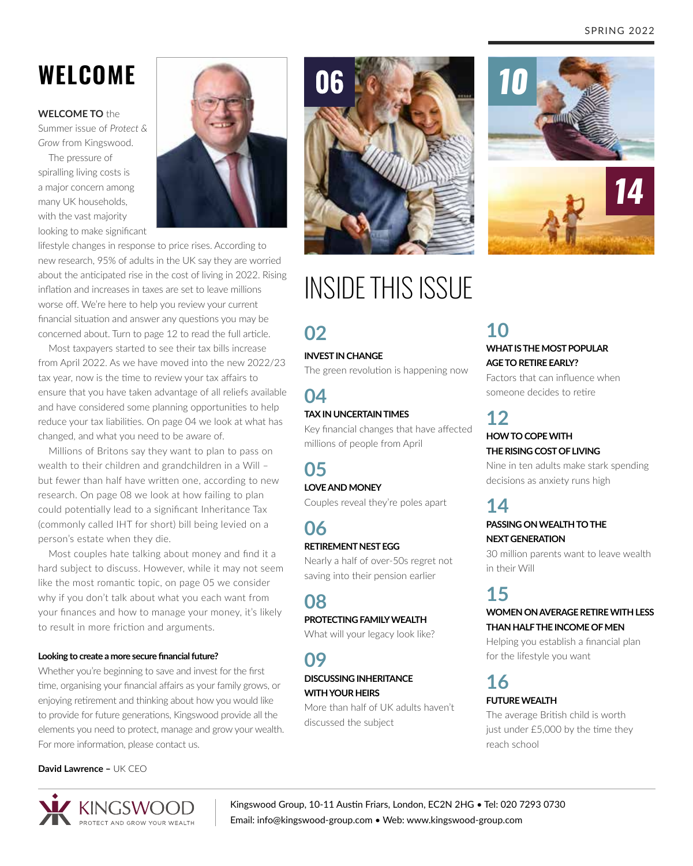# **WELCOME**

**WELCOME TO** the

Summer issue of *Protect & Grow* from Kingswood.

The pressure of spiralling living costs is a major concern among many UK households, with the vast majority looking to make significant



lifestyle changes in response to price rises. According to new research, 95% of adults in the UK say they are worried about the anticipated rise in the cost of living in 2022. Rising inflation and increases in taxes are set to leave millions worse off. We're here to help you review your current financial situation and answer any questions you may be concerned about. Turn to page 12 to read the full article.

Most taxpayers started to see their tax bills increase from April 2022. As we have moved into the new 2022/23 tax year, now is the time to review your tax affairs to ensure that you have taken advantage of all reliefs available and have considered some planning opportunities to help reduce your tax liabilities. On page 04 we look at what has changed, and what you need to be aware of.

Millions of Britons say they want to plan to pass on wealth to their children and grandchildren in a Will – but fewer than half have written one, according to new research. On page 08 we look at how failing to plan could potentially lead to a significant Inheritance Tax (commonly called IHT for short) bill being levied on a person's estate when they die.

Most couples hate talking about money and find it a hard subject to discuss. However, while it may not seem like the most romantic topic, on page 05 we consider why if you don't talk about what you each want from your finances and how to manage your money, it's likely to result in more friction and arguments.

#### **Looking to create a more secure financial future?**

Whether you're beginning to save and invest for the first time, organising your financial affairs as your family grows, or enjoying retirement and thinking about how you would like to provide for future generations, Kingswood provide all the elements you need to protect, manage and grow your wealth. For more information, please contact us.

#### **David Lawrence –** UK CEO



06

# INSIDE THIS ISSUE

### **02**

#### **INVEST IN CHANGE**

The green revolution is happening now

#### **04 TAX IN UNCERTAIN TIMES**

Key financial changes that have affected millions of people from April

## **05**

#### **LOVE AND MONEY**

Couples reveal they're poles apart

#### **06 RETIREMENT NEST EGG**

Nearly a half of over-50s regret not saving into their pension earlier

### **08**

#### **PROTECTING FAMILY WEALTH**

What will your legacy look like?

### **09**

#### **DISCUSSING INHERITANCE WITH YOUR HEIRS**

More than half of UK adults haven't discussed the subject



# **10**

#### **WHAT IS THE MOST POPULAR AGE TO RETIRE EARLY?**

Factors that can influence when someone decides to retire

# **12**

#### **HOW TO COPE WITH THE RISING COST OF LIVING**

Nine in ten adults make stark spending decisions as anxiety runs high

### **14**

#### **PASSING ON WEALTH TO THE NEXT GENERATION**

30 million parents want to leave wealth in their Will

### **15**

#### **WOMEN ON AVERAGE RETIRE WITH LESS THAN HALF THE INCOME OF MEN**

Helping you establish a financial plan for the lifestyle you want

### **16**

#### **FUTURE WEALTH**

The average British child is worth just under £5,000 by the time they reach school

Kingswood Group, 10‑11 Austin Friars, London, EC2N 2HG • Tel: 020 7293 0730 Email: info@kingswood-group.com • Web: www.kingswood-group.com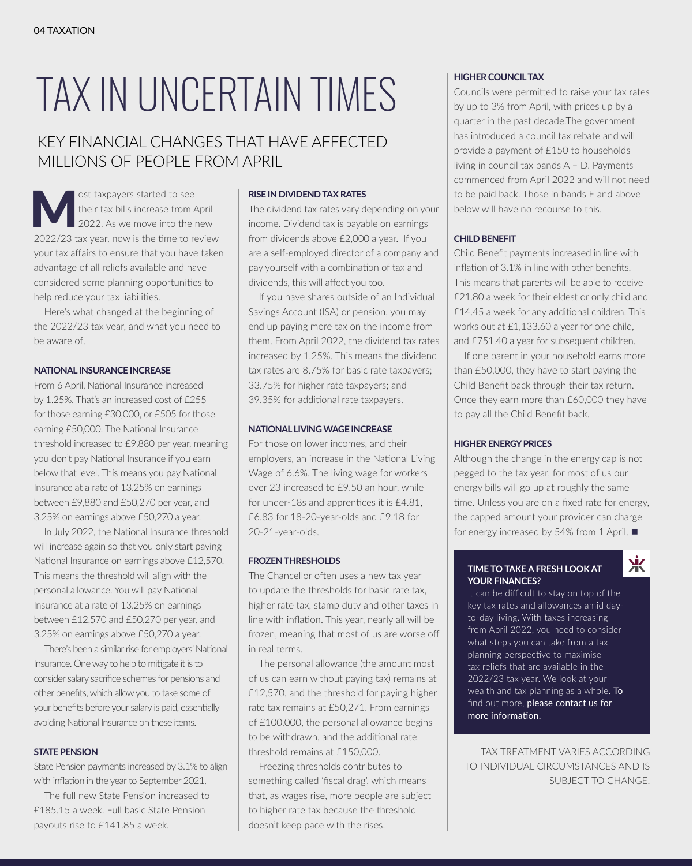# TAX IN UNCERTAIN TIMES

### KEY FINANCIAL CHANGES THAT HAVE AFFECTED MILLIONS OF PEOPLE FROM APRIL

ost taxpayers started to see<br>their tax bills increase from A<br>2022/23 to we as well the time to the t their tax bills increase from April 2022. As we move into the new 2022/23 tax year, now is the time to review your tax affairs to ensure that you have taken advantage of all reliefs available and have considered some planning opportunities to help reduce your tax liabilities.

Here's what changed at the beginning of the 2022/23 tax year, and what you need to be aware of.

#### **NATIONAL INSURANCE INCREASE**

From 6 April, National Insurance increased by 1.25%. That's an increased cost of £255 for those earning £30,000, or £505 for those earning £50,000. The National Insurance threshold increased to £9,880 per year, meaning you don't pay National Insurance if you earn below that level. This means you pay National Insurance at a rate of 13.25% on earnings between £9,880 and £50,270 per year, and 3.25% on earnings above £50,270 a year.

In July 2022, the National Insurance threshold will increase again so that you only start paying National Insurance on earnings above £12,570. This means the threshold will align with the personal allowance. You will pay National Insurance at a rate of 13.25% on earnings between £12,570 and £50,270 per year, and 3.25% on earnings above £50,270 a year.

There's been a similar rise for employers' National Insurance. One way to help to mitigate it is to consider salary sacrifice schemes for pensions and other benefits, which allow you to take some of your benefits before your salary is paid, essentially avoiding National Insurance on these items.

#### **STATE PENSION**

State Pension payments increased by 3.1% to align with inflation in the year to September 2021.

The full new State Pension increased to £185.15 a week. Full basic State Pension payouts rise to £141.85 a week.

#### **RISE IN DIVIDEND TAX RATES**

The dividend tax rates vary depending on your income. Dividend tax is payable on earnings from dividends above £2,000 a year. If you are a self-employed director of a company and pay yourself with a combination of tax and dividends, this will affect you too.

If you have shares outside of an Individual Savings Account (ISA) or pension, you may end up paying more tax on the income from them. From April 2022, the dividend tax rates increased by 1.25%. This means the dividend tax rates are 8.75% for basic rate taxpayers; 33.75% for higher rate taxpayers; and 39.35% for additional rate taxpayers.

#### **NATIONAL LIVING WAGE INCREASE**

For those on lower incomes, and their employers, an increase in the National Living Wage of 6.6%. The living wage for workers over 23 increased to £9.50 an hour, while for under-18s and apprentices it is £4.81, £6.83 for 18-20-year-olds and £9.18 for 20-21-year-olds.

#### **FROZEN THRESHOLDS**

The Chancellor often uses a new tax year to update the thresholds for basic rate tax, higher rate tax, stamp duty and other taxes in line with inflation. This year, nearly all will be frozen, meaning that most of us are worse off in real terms.

The personal allowance (the amount most of us can earn without paying tax) remains at £12,570, and the threshold for paying higher rate tax remains at £50,271. From earnings of £100,000, the personal allowance begins to be withdrawn, and the additional rate threshold remains at £150,000.

Freezing thresholds contributes to something called 'fiscal drag', which means that, as wages rise, more people are subject to higher rate tax because the threshold doesn't keep pace with the rises.

#### **HIGHER COUNCIL TAX**

Councils were permitted to raise your tax rates by up to 3% from April, with prices up by a quarter in the past decade.The government has introduced a council tax rebate and will provide a payment of £150 to households living in council tax bands A – D. Payments commenced from April 2022 and will not need to be paid back. Those in bands E and above below will have no recourse to this.

#### **CHILD BENEFIT**

Child Benefit payments increased in line with inflation of 3.1% in line with other benefits. This means that parents will be able to receive £21.80 a week for their eldest or only child and £14.45 a week for any additional children. This works out at £1,133.60 a year for one child, and £751.40 a year for subsequent children.

If one parent in your household earns more than £50,000, they have to start paying the Child Benefit back through their tax return. Once they earn more than £60,000 they have to pay all the Child Benefit back.

#### **HIGHER ENERGY PRICES**

Although the change in the energy cap is not pegged to the tax year, for most of us our energy bills will go up at roughly the same time. Unless you are on a fixed rate for energy, the capped amount your provider can charge for energy increased by 54% from 1 April.  $\blacksquare$ 

Ж

#### **TIME TO TAKE A FRESH LOOK AT YOUR FINANCES?**

It can be difficult to stay on top of the key tax rates and allowances amid dayto-day living. With taxes increasing from April 2022, you need to consider what steps you can take from a tax planning perspective to maximise tax reliefs that are available in the 2022/23 tax year. We look at your wealth and tax planning as a whole. To find out more, please contact us for more information.

TAX TREATMENT VARIES ACCORDING TO INDIVIDUAL CIRCUMSTANCES AND IS SUBJECT TO CHANGE.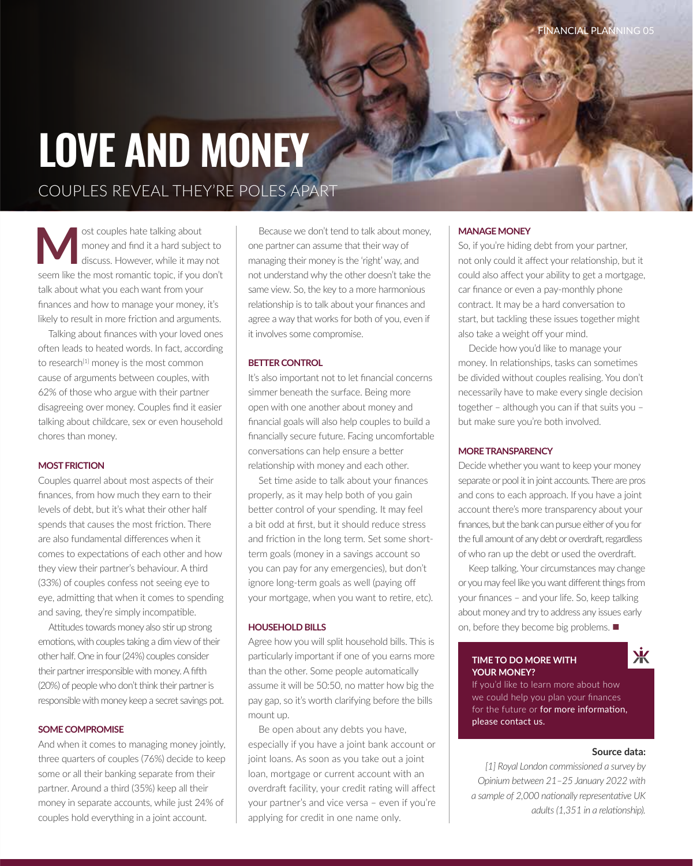# **LOVE AND MONEY** COUPLES REVEAL THEY'RE POLES APART

**M** ost couples hate talking about<br>
money and find it a hard subject to<br>
discuss. However, while it may not<br>
seem like the most remarking it was don't money and find it a hard subject to seem like the most romantic topic, if you don't talk about what you each want from your finances and how to manage your money, it's likely to result in more friction and arguments.

Talking about finances with your loved ones often leads to heated words. In fact, according to research<sup>[1]</sup> money is the most common cause of arguments between couples, with 62% of those who argue with their partner disagreeing over money. Couples find it easier talking about childcare, sex or even household chores than money.

#### **MOST FRICTION**

Couples quarrel about most aspects of their finances, from how much they earn to their levels of debt, but it's what their other half spends that causes the most friction. There are also fundamental differences when it comes to expectations of each other and how they view their partner's behaviour. A third (33%) of couples confess not seeing eye to eye, admitting that when it comes to spending and saving, they're simply incompatible.

Attitudes towards money also stir up strong emotions, with couples taking a dim view of their other half. One in four (24%) couples consider their partner irresponsible with money. A fifth (20%) of people who don't think their partner is responsible with money keep a secret savings pot.

#### **SOME COMPROMISE**

And when it comes to managing money jointly, three quarters of couples (76%) decide to keep some or all their banking separate from their partner. Around a third (35%) keep all their money in separate accounts, while just 24% of couples hold everything in a joint account.

Because we don't tend to talk about money, one partner can assume that their way of managing their money is the 'right' way, and not understand why the other doesn't take the same view. So, the key to a more harmonious relationship is to talk about your finances and agree a way that works for both of you, even if it involves some compromise.

#### **BETTER CONTROL**

It's also important not to let financial concerns simmer beneath the surface. Being more open with one another about money and financial goals will also help couples to build a financially secure future. Facing uncomfortable conversations can help ensure a better relationship with money and each other.

Set time aside to talk about your finances properly, as it may help both of you gain better control of your spending. It may feel a bit odd at first, but it should reduce stress and friction in the long term. Set some shortterm goals (money in a savings account so you can pay for any emergencies), but don't ignore long-term goals as well (paying off your mortgage, when you want to retire, etc).

#### **HOUSEHOLD BILLS**

Agree how you will split household bills. This is particularly important if one of you earns more than the other. Some people automatically assume it will be 50:50, no matter how big the pay gap, so it's worth clarifying before the bills mount up.

Be open about any debts you have, especially if you have a joint bank account or joint loans. As soon as you take out a joint loan, mortgage or current account with an overdraft facility, your credit rating will affect your partner's and vice versa – even if you're applying for credit in one name only.

#### **MANAGE MONEY**

So, if you're hiding debt from your partner, not only could it affect your relationship, but it could also affect your ability to get a mortgage, car finance or even a pay-monthly phone contract. It may be a hard conversation to start, but tackling these issues together might also take a weight off your mind.

Decide how you'd like to manage your money. In relationships, tasks can sometimes be divided without couples realising. You don't necessarily have to make every single decision together – although you can if that suits you – but make sure you're both involved.

#### **MORE TRANSPARENCY**

Decide whether you want to keep your money separate or pool it in joint accounts. There are pros and cons to each approach. If you have a joint account there's more transparency about your finances, but the bank can pursue either of you for the full amount of any debt or overdraft, regardless of who ran up the debt or used the overdraft.

Keep talking. Your circumstances may change or you may feel like you want different things from your finances – and your life. So, keep talking about money and try to address any issues early on, before they become big problems.  $\blacksquare$ 

#### **TIME TO DO MORE WITH YOUR MONEY?**

### Ж

If you'd like to learn more about how we could help you plan your finances for the future or for more information, please contact us.

#### **Source data:**

*[1] Royal London commissioned a survey by Opinium between 21–25 January 2022 with a sample of 2,000 nationally representative UK adults (1,351 in a relationship).*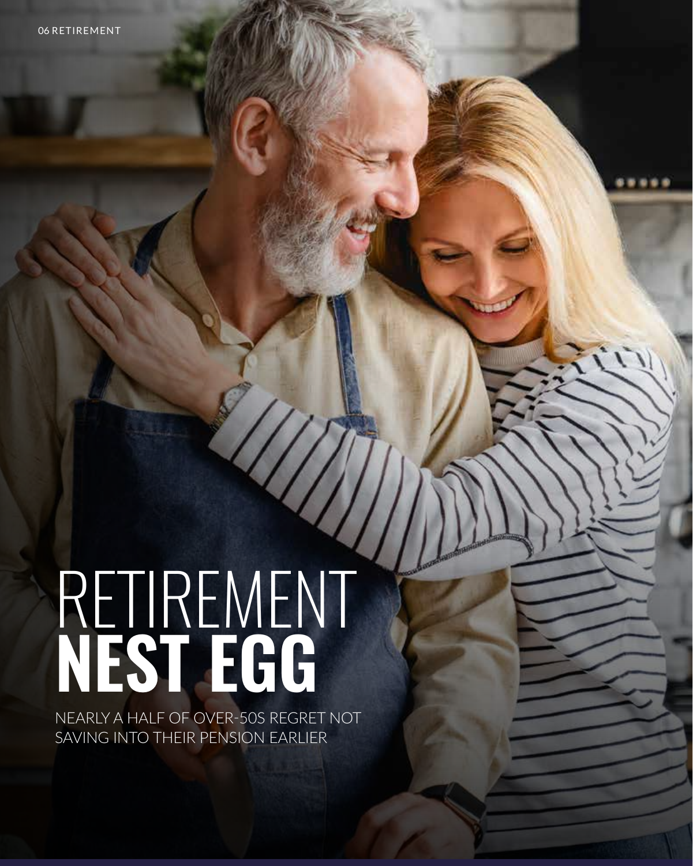# RETIREMENT **NEST EGG**

NEARLY A HALF OF OVER-50S REGRET NOT SAVING INTO THEIR PENSION EARLIER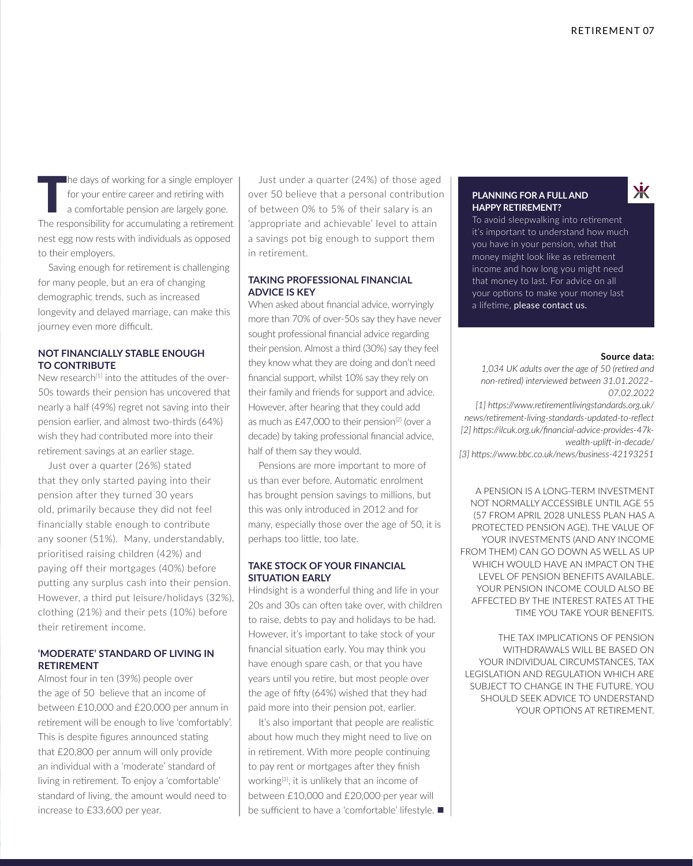The days of working for a single employer<br>
for your entire career and retiring with<br>
a comfortable pension are largely gone.<br>
The reconnecibility for accumulating a retirement for your entire career and retiring with The responsibility for accumulating a retirement nest egg now rests with individuals as opposed to their employers.

Saving enough for retirement is challenging for many people, but an era of changing demographic trends, such as increased longevity and delayed marriage, can make this journey even more difficult.

#### **NOT FINANCIALLY STABLE ENOUGH TO CONTRIBUTE**

New research<sup>[1]</sup> into the attitudes of the over-50s towards their pension has uncovered that nearly a half (49%) regret not saving into their pension earlier, and almost two-thirds (64%) wish they had contributed more into their retirement savings at an earlier stage.

Just over a quarter (26%) stated that they only started paying into their pension after they turned 30 years old, primarily because they did not feel financially stable enough to contribute any sooner (51%). Many, understandably, prioritised raising children (42%) and paying off their mortgages (40%) before putting any surplus cash into their pension. However, a third put leisure/holidays (32%), clothing (21%) and their pets (10%) before their retirement income.

#### **'MODERATE' STANDARD OF LIVING IN RETIREMENT**

Almost four in ten (39%) people over the age of 50 believe that an income of between £10,000 and £20,000 per annum in retirement will be enough to live 'comfortably'. This is despite figures announced stating that £20,800 per annum will only provide an individual with a 'moderate' standard of living in retirement. To enjoy a 'comfortable' standard of living, the amount would need to increase to £33,600 per year.

Just under a quarter (24%) of those aged over 50 believe that a personal contribution of between 0% to 5% of their salary is an 'appropriate and achievable' level to attain a savings pot big enough to support them in retirement.

#### **TAKING PROFESSIONAL FINANCIAL ADVICE IS KEY**

When asked about financial advice, worryingly more than 70% of over-50s say they have never sought professional financial advice regarding their pension. Almost a third (30%) say they feel they know what they are doing and don't need financial support, whilst 10% say they rely on their family and friends for support and advice. However, after hearing that they could add as much as  $£47,000$  to their pension<sup>[2]</sup> (over a decade) by taking professional financial advice, half of them say they would.

Pensions are more important to more of us than ever before. Automatic enrolment has brought pension savings to millions, but this was only introduced in 2012 and for many, especially those over the age of 50, it is perhaps too little, too late.

#### **TAKE STOCK OF YOUR FINANCIAL SITUATION EARLY**

Hindsight is a wonderful thing and life in your 20s and 30s can often take over, with children to raise, debts to pay and holidays to be had. However, it's important to take stock of your financial situation early. You may think you have enough spare cash, or that you have years until you retire, but most people over the age of fifty (64%) wished that they had paid more into their pension pot, earlier.

It's also important that people are realistic about how much they might need to live on in retirement. With more people continuing to pay rent or mortgages after they finish working<sup>[3]</sup>, it is unlikely that an income of between £10,000 and £20,000 per year will be sufficient to have a 'comfortable' lifestyle.  $\blacksquare$ 

#### **PLANNING FOR A FULL AND HAPPY RETIREMENT?**

To avoid sleepwalking into retirement it's important to understand how much you have in your pension, what that money might look like as retirement income and how long you might need that money to last. For advice on all your options to make your money last a lifetime, please contact us.

#### **Source data:**

Ж

*1,034 UK adults over the age of 50 (retired and non-retired) interviewed between 31.01.2022– 07.02.2022*

*[1] https://www.retirementlivingstandards.org.uk/ news/retirement-living-standards-updated-to-reflect [2] https://ilcuk.org.uk/financial-advice-provides-47kwealth-uplift-in-decade/*

*[3] https://www.bbc.co.uk/news/business-42193251*

A PENSION IS A LONG-TERM INVESTMENT NOT NORMALLY ACCESSIBLE UNTIL AGE 55 (57 FROM APRIL 2028 UNLESS PLAN HAS A PROTECTED PENSION AGE). THE VALUE OF YOUR INVESTMENTS (AND ANY INCOME FROM THEM) CAN GO DOWN AS WELL AS UP WHICH WOULD HAVE AN IMPACT ON THE LEVEL OF PENSION BENEFITS AVAILABLE. YOUR PENSION INCOME COULD ALSO BE AFFECTED BY THE INTEREST RATES AT THE TIME YOU TAKE YOUR BENEFITS.

THE TAX IMPLICATIONS OF PENSION WITHDRAWALS WILL BE BASED ON YOUR INDIVIDUAL CIRCUMSTANCES, TAX LEGISLATION AND REGULATION WHICH ARE SUBJECT TO CHANGE IN THE FUTURE. YOU SHOULD SEEK ADVICE TO UNDERSTAND YOUR OPTIONS AT RETIREMENT.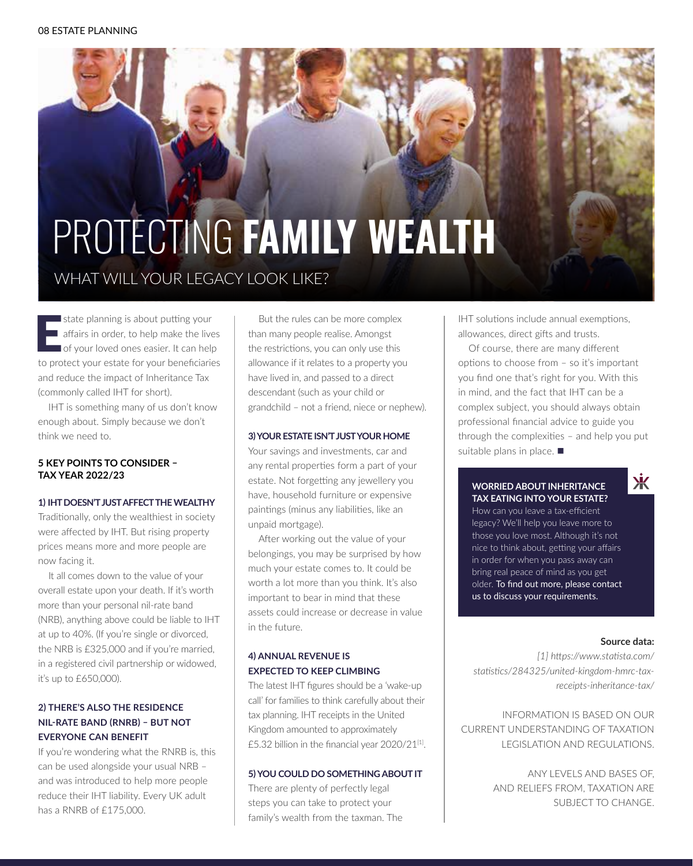# **PROTECTING FAMILY WEALTH** WHAT WILL YOUR LEGACY LOOK LIKE?

state planning is about putting your<br>affairs in order, to help make the lives<br>of your loved ones easier. It can help<br>to protect your estate for your beneficiaries state planning is about putting your affairs in order, to help make the lives of your loved ones easier. It can help and reduce the impact of Inheritance Tax (commonly called IHT for short).

IHT is something many of us don't know enough about. Simply because we don't think we need to.

#### **5 KEY POINTS TO CONSIDER – TAX YEAR 2022/23**

#### **1) IHT DOESN'T JUST AFFECT THE WEALTHY**

Traditionally, only the wealthiest in society were affected by IHT. But rising property prices means more and more people are now facing it.

It all comes down to the value of your overall estate upon your death. If it's worth more than your personal nil-rate band (NRB), anything above could be liable to IHT at up to 40%. (If you're single or divorced, the NRB is £325,000 and if you're married, in a registered civil partnership or widowed, it's up to £650,000).

#### **2) THERE'S ALSO THE RESIDENCE NIL-RATE BAND (RNRB) – BUT NOT EVERYONE CAN BENEFIT**

If you're wondering what the RNRB is, this can be used alongside your usual NRB – and was introduced to help more people reduce their IHT liability. Every UK adult has a RNRB of £175,000.

But the rules can be more complex than many people realise. Amongst the restrictions, you can only use this allowance if it relates to a property you have lived in, and passed to a direct descendant (such as your child or grandchild – not a friend, niece or nephew).

#### **3) YOUR ESTATE ISN'T JUST YOUR HOME**

Your savings and investments, car and any rental properties form a part of your estate. Not forgetting any jewellery you have, household furniture or expensive paintings (minus any liabilities, like an unpaid mortgage).

After working out the value of your belongings, you may be surprised by how much your estate comes to. It could be worth a lot more than you think. It's also important to bear in mind that these assets could increase or decrease in value in the future.

#### **4) ANNUAL REVENUE IS EXPECTED TO KEEP CLIMBING**

The latest IHT figures should be a 'wake-up call' for families to think carefully about their tax planning. IHT receipts in the United Kingdom amounted to approximately £5.32 billion in the financial year 2020/21[1].

#### **5) YOU COULD DO SOMETHING ABOUT IT**

There are plenty of perfectly legal steps you can take to protect your family's wealth from the taxman. The IHT solutions include annual exemptions, allowances, direct gifts and trusts.

Of course, there are many different options to choose from – so it's important you find one that's right for you. With this in mind, and the fact that IHT can be a complex subject, you should always obtain professional financial advice to guide you through the complexities – and help you put suitable plans in place.  $\blacksquare$ 

#### **WORRIED ABOUT INHERITANCE TAX EATING INTO YOUR ESTATE?**

How can you leave a tax-efficient legacy? We'll help you leave more to those you love most. Although it's not nice to think about, getting your affairs in order for when you pass away can bring real peace of mind as you get older. To find out more, please contact us to discuss your requirements.

#### **Source data:**

Ж

*[1] https://www.statista.com/ statistics/284325/united-kingdom-hmrc-taxreceipts-inheritance-tax/*

INFORMATION IS BASED ON OUR CURRENT UNDERSTANDING OF TAXATION LEGISLATION AND REGULATIONS.

> ANY LEVELS AND BASES OF, AND RELIEFS FROM, TAXATION ARE SUBJECT TO CHANGE.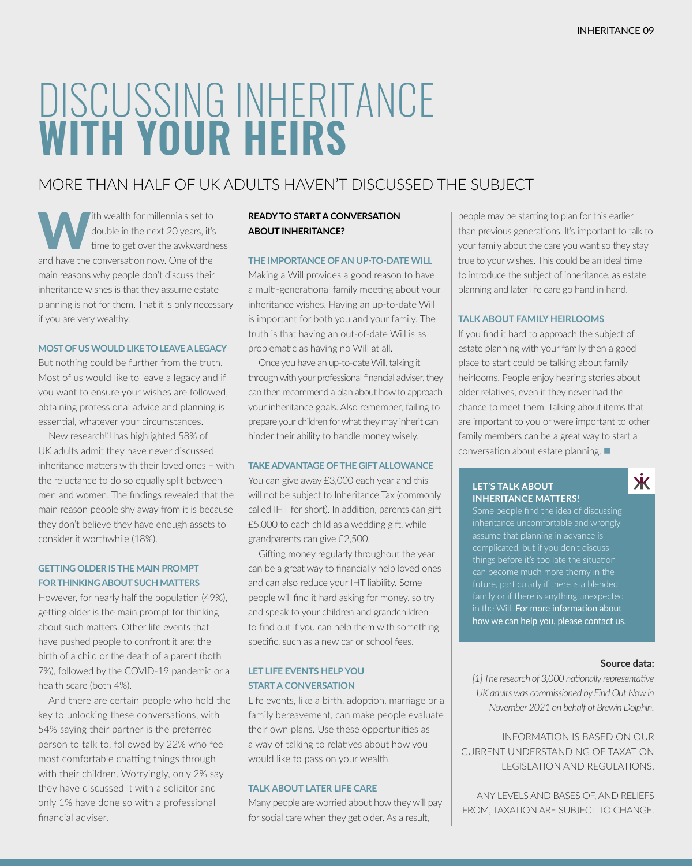# DISCUSSING INHERITANCE **WITH YOUR HEIRS**

### MORE THAN HALF OF UK ADULTS HAVEN'T DISCUSSED THE SUBJECT

The wealth for millennials set to<br>double in the next 20 years, it's<br>time to get over the awkwardness double in the next 20 years, it's time to get over the awkwardness and have the conversation now. One of the main reasons why people don't discuss their inheritance wishes is that they assume estate planning is not for them. That it is only necessary if you are very wealthy.

#### **MOST OF US WOULD LIKE TO LEAVE A LEGACY**

But nothing could be further from the truth. Most of us would like to leave a legacy and if you want to ensure your wishes are followed, obtaining professional advice and planning is essential, whatever your circumstances.

New research<sup>[1]</sup> has highlighted 58% of UK adults admit they have never discussed inheritance matters with their loved ones – with the reluctance to do so equally split between men and women. The findings revealed that the main reason people shy away from it is because they don't believe they have enough assets to consider it worthwhile (18%).

#### **GETTING OLDER IS THE MAIN PROMPT FOR THINKING ABOUT SUCH MATTERS**

However, for nearly half the population (49%), getting older is the main prompt for thinking about such matters. Other life events that have pushed people to confront it are: the birth of a child or the death of a parent (both 7%), followed by the COVID-19 pandemic or a health scare (both 4%).

And there are certain people who hold the key to unlocking these conversations, with 54% saying their partner is the preferred person to talk to, followed by 22% who feel most comfortable chatting things through with their children. Worryingly, only 2% say they have discussed it with a solicitor and only 1% have done so with a professional financial adviser.

#### **READY TO START A CONVERSATION ABOUT INHERITANCE?**

#### **THE IMPORTANCE OF AN UP-TO-DATE WILL**

Making a Will provides a good reason to have a multi-generational family meeting about your inheritance wishes. Having an up-to-date Will is important for both you and your family. The truth is that having an out-of-date Will is as problematic as having no Will at all.

Once you have an up-to-date Will, talking it through with your professional financial adviser, they can then recommend a plan about how to approach your inheritance goals. Also remember, failing to prepare your children for what they may inherit can hinder their ability to handle money wisely.

#### **TAKE ADVANTAGE OF THE GIFT ALLOWANCE**

You can give away £3,000 each year and this will not be subject to Inheritance Tax (commonly called IHT for short). In addition, parents can gift £5,000 to each child as a wedding gift, while grandparents can give £2,500.

Gifting money regularly throughout the year can be a great way to financially help loved ones and can also reduce your IHT liability. Some people will find it hard asking for money, so try and speak to your children and grandchildren to find out if you can help them with something specific, such as a new car or school fees.

#### **LET LIFE EVENTS HELP YOU START A CONVERSATION**

Life events, like a birth, adoption, marriage or a family bereavement, can make people evaluate their own plans. Use these opportunities as a way of talking to relatives about how you would like to pass on your wealth.

#### **TALK ABOUT LATER LIFE CARE**

Many people are worried about how they will pay for social care when they get older. As a result,

people may be starting to plan for this earlier than previous generations. It's important to talk to your family about the care you want so they stay true to your wishes. This could be an ideal time to introduce the subject of inheritance, as estate planning and later life care go hand in hand.

#### **TALK ABOUT FAMILY HEIRLOOMS**

If you find it hard to approach the subject of estate planning with your family then a good place to start could be talking about family heirlooms. People enjoy hearing stories about older relatives, even if they never had the chance to meet them. Talking about items that are important to you or were important to other family members can be a great way to start a conversation about estate planning.  $\blacksquare$ 

#### **LET'S TALK ABOUT INHERITANCE MATTERS!**

Some people find the idea of discussing inheritance uncomfortable and wrongly things before it's too late the situation family or if there is anything unexpected in the Will. For more information about how we can help you, please contact us.

#### **Source data:**

来

*[1] The research of 3,000 nationally representative UK adults was commissioned by Find Out Now in November 2021 on behalf of Brewin Dolphin.*

INFORMATION IS BASED ON OUR CURRENT UNDERSTANDING OF TAXATION LEGISLATION AND REGULATIONS.

ANY LEVELS AND BASES OF, AND RELIEFS FROM, TAXATION ARE SUBJECT TO CHANGE.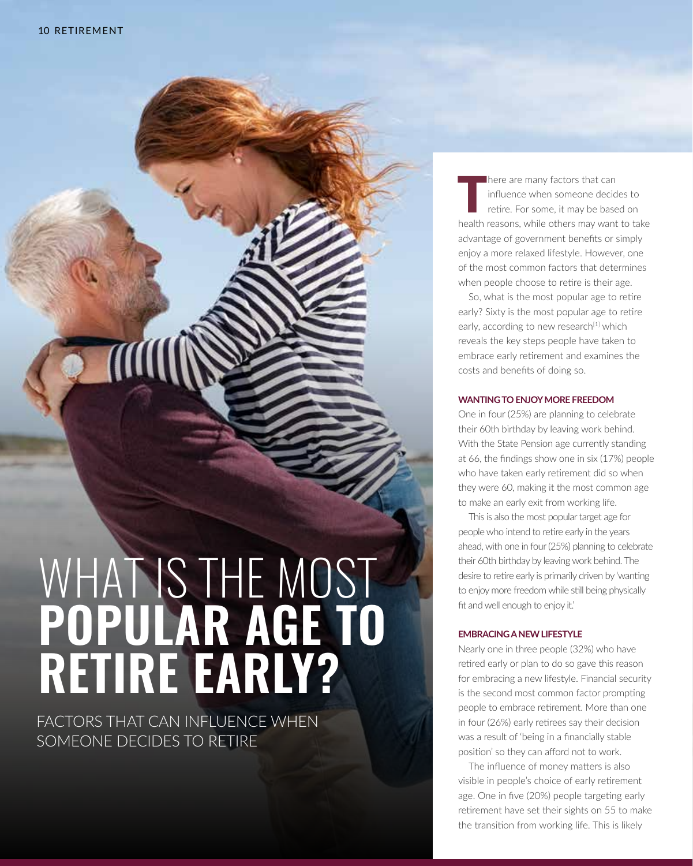A

# WHAT IS THE MOST **POPULAR AGE TO RETIRE EARLY?**

FACTORS THAT CAN INFLUENCE WHEN SOMEONE DECIDES TO RETIRE

There are many factors that can<br>
influence when someone decides to<br>
retire. For some, it may be based on<br>
health resears while others may wont to to influence when someone decides to health reasons, while others may want to take advantage of government benefits or simply enjoy a more relaxed lifestyle. However, one of the most common factors that determines when people choose to retire is their age.

So, what is the most popular age to retire early? Sixty is the most popular age to retire early, according to new research<sup>[1]</sup> which reveals the key steps people have taken to embrace early retirement and examines the costs and benefits of doing so.

#### **WANTING TO ENJOY MORE FREEDOM**

One in four (25%) are planning to celebrate their 60th birthday by leaving work behind. With the State Pension age currently standing at 66, the findings show one in six (17%) people who have taken early retirement did so when they were 60, making it the most common age to make an early exit from working life.

This is also the most popular target age for people who intend to retire early in the years ahead, with one in four (25%) planning to celebrate their 60th birthday by leaving work behind. The desire to retire early is primarily driven by 'wanting to enjoy more freedom while still being physically fit and well enough to enjoy it.'

#### **EMBRACING A NEW LIFESTYLE**

Nearly one in three people (32%) who have retired early or plan to do so gave this reason for embracing a new lifestyle. Financial security is the second most common factor prompting people to embrace retirement. More than one in four (26%) early retirees say their decision was a result of 'being in a financially stable position' so they can afford not to work.

The influence of money matters is also visible in people's choice of early retirement age. One in five (20%) people targeting early retirement have set their sights on 55 to make the transition from working life. This is likely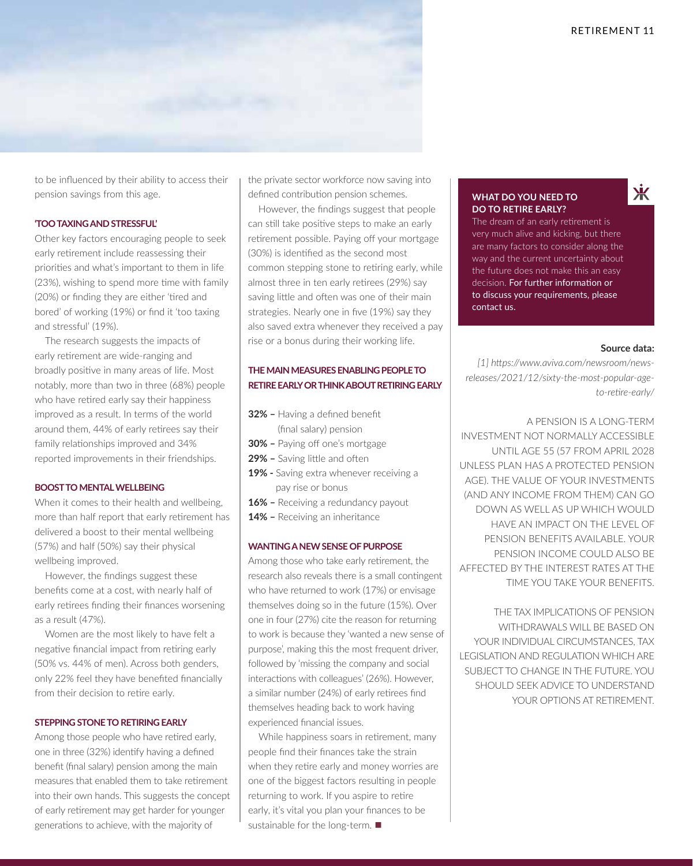

to be influenced by their ability to access their pension savings from this age.

#### **'TOO TAXING AND STRESSFUL'**

Other key factors encouraging people to seek early retirement include reassessing their priorities and what's important to them in life (23%), wishing to spend more time with family (20%) or finding they are either 'tired and bored' of working (19%) or find it 'too taxing and stressful' (19%).

The research suggests the impacts of early retirement are wide-ranging and broadly positive in many areas of life. Most notably, more than two in three (68%) people who have retired early say their happiness improved as a result. In terms of the world around them, 44% of early retirees say their family relationships improved and 34% reported improvements in their friendships.

#### **BOOST TO MENTAL WELLBEING**

When it comes to their health and wellbeing, more than half report that early retirement has delivered a boost to their mental wellbeing (57%) and half (50%) say their physical wellbeing improved.

However, the findings suggest these benefits come at a cost, with nearly half of early retirees finding their finances worsening as a result (47%).

Women are the most likely to have felt a negative financial impact from retiring early (50% vs. 44% of men). Across both genders, only 22% feel they have benefited financially from their decision to retire early.

#### **STEPPING STONE TO RETIRING EARLY**

Among those people who have retired early, one in three (32%) identify having a defined benefit (final salary) pension among the main measures that enabled them to take retirement into their own hands. This suggests the concept of early retirement may get harder for younger generations to achieve, with the majority of

the private sector workforce now saving into defined contribution pension schemes.

However, the findings suggest that people can still take positive steps to make an early retirement possible. Paying off your mortgage (30%) is identified as the second most common stepping stone to retiring early, while almost three in ten early retirees (29%) say saving little and often was one of their main strategies. Nearly one in five (19%) say they also saved extra whenever they received a pay rise or a bonus during their working life.

#### **THE MAIN MEASURES ENABLING PEOPLE TO RETIRE EARLY OR THINK ABOUT RETIRING EARLY**

- **32%** Having a defined benefit
- (final salary) pension
- **30%** Paying off one's mortgage
- **29%** Saving little and often
- **19%** Saving extra whenever receiving a pay rise or bonus
- **16%** Receiving a redundancy payout
- **14%** Receiving an inheritance

#### **WANTING A NEW SENSE OF PURPOSE**

Among those who take early retirement, the research also reveals there is a small contingent who have returned to work (17%) or envisage themselves doing so in the future (15%). Over one in four (27%) cite the reason for returning to work is because they 'wanted a new sense of purpose', making this the most frequent driver, followed by 'missing the company and social interactions with colleagues' (26%). However, a similar number (24%) of early retirees find themselves heading back to work having experienced financial issues.

While happiness soars in retirement, many people find their finances take the strain when they retire early and money worries are one of the biggest factors resulting in people returning to work. If you aspire to retire early, it's vital you plan your finances to be sustainable for the long-term.  $\blacksquare$ 

#### **WHAT DO YOU NEED TO DO TO RETIRE EARLY?**

The dream of an early retirement is very much alive and kicking, but there are many factors to consider along the way and the current uncertainty about the future does not make this an easy decision. For further information or to discuss your requirements, please contact us.

#### **Source data:**

Ж

*[1] https://www.aviva.com/newsroom/newsreleases/2021/12/sixty-the-most-popular-ageto-retire-early/*

A PENSION IS A LONG-TERM INVESTMENT NOT NORMALLY ACCESSIBLE UNTIL AGE 55 (57 FROM APRIL 2028 UNLESS PLAN HAS A PROTECTED PENSION AGE). THE VALUE OF YOUR INVESTMENTS (AND ANY INCOME FROM THEM) CAN GO DOWN AS WELL AS UP WHICH WOULD HAVE AN IMPACT ON THE LEVEL OF PENSION BENEFITS AVAILABLE. YOUR PENSION INCOME COULD ALSO BE AFFECTED BY THE INTEREST RATES AT THE TIME YOU TAKE YOUR BENEFITS.

THE TAX IMPLICATIONS OF PENSION WITHDRAWALS WILL BE BASED ON YOUR INDIVIDUAL CIRCUMSTANCES, TAX LEGISLATION AND REGULATION WHICH ARE SUBJECT TO CHANGE IN THE FUTURE. YOU SHOULD SEEK ADVICE TO UNDERSTAND YOUR OPTIONS AT RETIREMENT.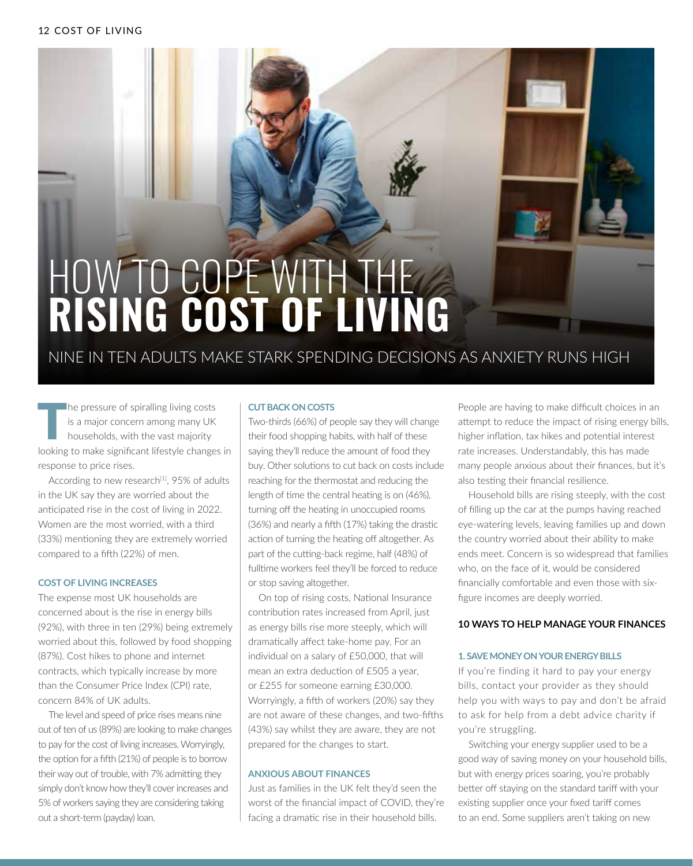# HOW TO COPE WITH THE **RISING COST OF LIVING**

NINE IN TEN ADULTS MAKE STARK SPENDING DECISIONS AS ANXIETY RUNS HIGH

The pressure of spiralling living costs<br>
is a major concern among many UK<br>
households, with the vast majority<br>
leaking to make similar<br>
ifact is a phase is a major concern among many UK looking to make significant lifestyle changes in response to price rises.

According to new research<sup>[1]</sup>, 95% of adults in the UK say they are worried about the anticipated rise in the cost of living in 2022. Women are the most worried, with a third (33%) mentioning they are extremely worried compared to a fifth (22%) of men.

#### **COST OF LIVING INCREASES**

The expense most UK households are concerned about is the rise in energy bills (92%), with three in ten (29%) being extremely worried about this, followed by food shopping (87%). Cost hikes to phone and internet contracts, which typically increase by more than the Consumer Price Index (CPI) rate, concern 84% of UK adults.

The level and speed of price rises means nine out of ten of us (89%) are looking to make changes to pay for the cost of living increases. Worryingly, the option for a fifth (21%) of people is to borrow their way out of trouble, with 7% admitting they simply don't know how they'll cover increases and 5% of workers saying they are considering taking out a short-term (payday) loan.

#### **CUT BACK ON COSTS**

Two-thirds (66%) of people say they will change their food shopping habits, with half of these saying they'll reduce the amount of food they buy. Other solutions to cut back on costs include reaching for the thermostat and reducing the length of time the central heating is on (46%), turning off the heating in unoccupied rooms (36%) and nearly a fifth (17%) taking the drastic action of turning the heating off altogether. As part of the cutting-back regime, half (48%) of fulltime workers feel they'll be forced to reduce or stop saving altogether.

On top of rising costs, National Insurance contribution rates increased from April, just as energy bills rise more steeply, which will dramatically affect take-home pay. For an individual on a salary of £50,000, that will mean an extra deduction of £505 a year, or £255 for someone earning £30,000. Worryingly, a fifth of workers (20%) say they are not aware of these changes, and two-fifths (43%) say whilst they are aware, they are not prepared for the changes to start.

#### **ANXIOUS ABOUT FINANCES**

Just as families in the UK felt they'd seen the worst of the financial impact of COVID, they're facing a dramatic rise in their household bills.

People are having to make difficult choices in an attempt to reduce the impact of rising energy bills, higher inflation, tax hikes and potential interest rate increases. Understandably, this has made many people anxious about their finances, but it's also testing their financial resilience.

Household bills are rising steeply, with the cost of filling up the car at the pumps having reached eye-watering levels, leaving families up and down the country worried about their ability to make ends meet. Concern is so widespread that families who, on the face of it, would be considered financially comfortable and even those with sixfigure incomes are deeply worried.

#### **10 WAYS TO HELP MANAGE YOUR FINANCES**

#### **1. SAVE MONEY ON YOUR ENERGY BILLS**

If you're finding it hard to pay your energy bills, contact your provider as they should help you with ways to pay and don't be afraid to ask for help from a debt advice charity if you're struggling.

Switching your energy supplier used to be a good way of saving money on your household bills, but with energy prices soaring, you're probably better off staying on the standard tariff with your existing supplier once your fixed tariff comes to an end. Some suppliers aren't taking on new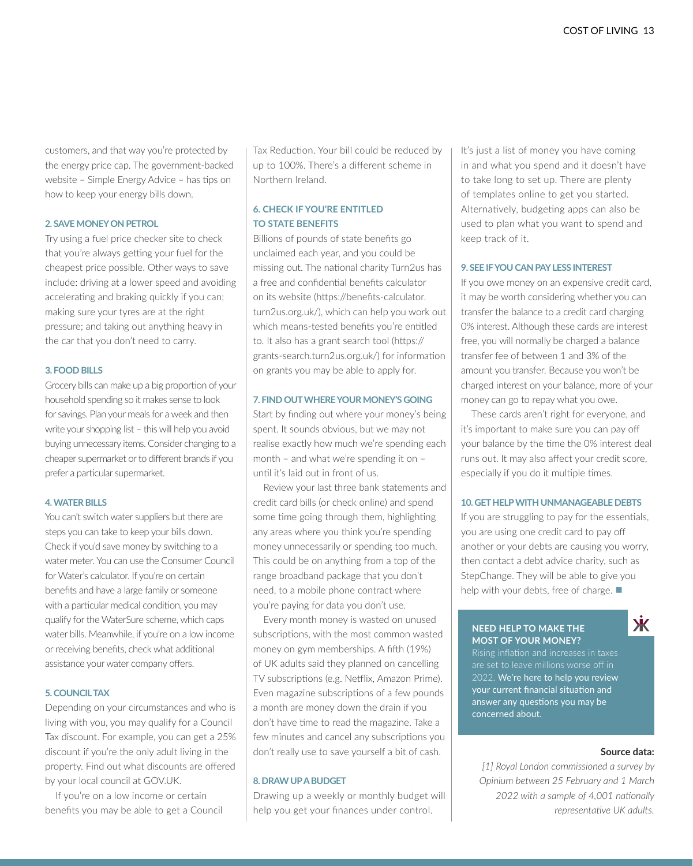customers, and that way you're protected by the energy price cap. The government-backed website – Simple Energy Advice – has tips on how to keep your energy bills down.

#### **2. SAVE MONEY ON PETROL**

Try using a fuel price checker site to check that you're always getting your fuel for the cheapest price possible. Other ways to save include: driving at a lower speed and avoiding accelerating and braking quickly if you can; making sure your tyres are at the right pressure; and taking out anything heavy in the car that you don't need to carry.

#### **3. FOOD BILLS**

Grocery bills can make up a big proportion of your household spending so it makes sense to look for savings. Plan your meals for a week and then write your shopping list – this will help you avoid buying unnecessary items. Consider changing to a cheaper supermarket or to different brands if you prefer a particular supermarket.

#### **4. WATER BILLS**

You can't switch water suppliers but there are steps you can take to keep your bills down. Check if you'd save money by switching to a water meter. You can use the Consumer Council for Water's calculator. If you're on certain benefits and have a large family or someone with a particular medical condition, you may qualify for the WaterSure scheme, which caps water bills. Meanwhile, if you're on a low income or receiving benefits, check what additional assistance your water company offers.

#### **5. COUNCIL TAX**

Depending on your circumstances and who is living with you, you may qualify for a Council Tax discount. For example, you can get a 25% discount if you're the only adult living in the property. Find out what discounts are offered by your local council at GOV.UK.

If you're on a low income or certain benefits you may be able to get a Council Tax Reduction. Your bill could be reduced by up to 100%. There's a different scheme in Northern Ireland.

#### **6. CHECK IF YOU'RE ENTITLED TO STATE BENEFITS**

Billions of pounds of state benefits go unclaimed each year, and you could be missing out. The national charity Turn2us has a free and confidential benefits calculator on its website (https://benefits-calculator. turn2us.org.uk/), which can help you work out which means-tested benefits you're entitled to. It also has a grant search tool (https:// grants-search.turn2us.org.uk/) for information on grants you may be able to apply for.

#### **7. FIND OUT WHERE YOUR MONEY'S GOING**

Start by finding out where your money's being spent. It sounds obvious, but we may not realise exactly how much we're spending each month – and what we're spending it on – until it's laid out in front of us.

Review your last three bank statements and credit card bills (or check online) and spend some time going through them, highlighting any areas where you think you're spending money unnecessarily or spending too much. This could be on anything from a top of the range broadband package that you don't need, to a mobile phone contract where you're paying for data you don't use.

Every month money is wasted on unused subscriptions, with the most common wasted money on gym memberships. A fifth (19%) of UK adults said they planned on cancelling TV subscriptions (e.g. Netflix, Amazon Prime). Even magazine subscriptions of a few pounds a month are money down the drain if you don't have time to read the magazine. Take a few minutes and cancel any subscriptions you don't really use to save yourself a bit of cash.

#### **8. DRAW UP A BUDGET**

Drawing up a weekly or monthly budget will help you get your finances under control.

It's just a list of money you have coming in and what you spend and it doesn't have to take long to set up. There are plenty of templates online to get you started. Alternatively, budgeting apps can also be used to plan what you want to spend and keep track of it.

#### **9. SEE IF YOU CAN PAY LESS INTEREST**

If you owe money on an expensive credit card, it may be worth considering whether you can transfer the balance to a credit card charging 0% interest. Although these cards are interest free, you will normally be charged a balance transfer fee of between 1 and 3% of the amount you transfer. Because you won't be charged interest on your balance, more of your money can go to repay what you owe.

These cards aren't right for everyone, and it's important to make sure you can pay off your balance by the time the 0% interest deal runs out. It may also affect your credit score, especially if you do it multiple times.

#### **10. GET HELP WITH UNMANAGEABLE DEBTS**

If you are struggling to pay for the essentials, you are using one credit card to pay off another or your debts are causing you worry, then contact a debt advice charity, such as StepChange. They will be able to give you help with your debts, free of charge.  $\blacksquare$ 

#### **NEED HELP TO MAKE THE MOST OF YOUR MONEY?**

氺

2022. We're here to help you review your current financial situation and answer any questions you may be concerned about.

#### **Source data:**

*[1] Royal London commissioned a survey by Opinium between 25 February and 1 March 2022 with a sample of 4,001 nationally representative UK adults.*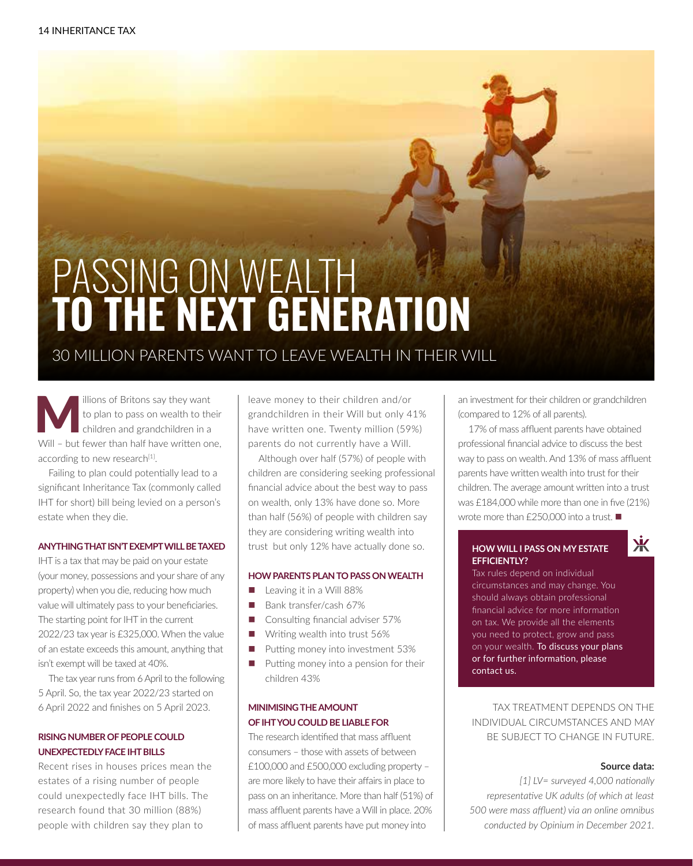# PASSING ON WEALTH **TO THE NEXT GENERATION**

### 30 MILLION PARENTS WANT TO LEAVE WEALTH IN THEIR WILL

illions of Britons say they want to plan to pass on wealth to their children and grandchildren in a Will – but fewer than half have written one, according to new research<sup>[1]</sup>.

Failing to plan could potentially lead to a significant Inheritance Tax (commonly called IHT for short) bill being levied on a person's estate when they die.

#### **ANYTHING THAT ISN'T EXEMPT WILL BE TAXED**

IHT is a tax that may be paid on your estate (your money, possessions and your share of any property) when you die, reducing how much value will ultimately pass to your beneficiaries. The starting point for IHT in the current 2022/23 tax year is £325,000. When the value of an estate exceeds this amount, anything that isn't exempt will be taxed at 40%.

The tax year runs from 6 April to the following 5 April. So, the tax year 2022/23 started on 6 April 2022 and finishes on 5 April 2023.

#### **RISING NUMBER OF PEOPLE COULD UNEXPECTEDLY FACE IHT BILLS**

Recent rises in houses prices mean the estates of a rising number of people could unexpectedly face IHT bills. The research found that 30 million (88%) people with children say they plan to

leave money to their children and/or grandchildren in their Will but only 41% have written one. Twenty million (59%) parents do not currently have a Will.

Although over half (57%) of people with children are considering seeking professional financial advice about the best way to pass on wealth, only 13% have done so. More than half (56%) of people with children say they are considering writing wealth into trust but only 12% have actually done so.

#### **HOW PARENTS PLAN TO PASS ON WEALTH**

- Leaving it in a Will 88%
- Bank transfer/cash 67%
- $\Box$  Consulting financial adviser 57%
- $\blacksquare$  Writing wealth into trust 56%
- $\blacksquare$  Putting money into investment 53%
- $\blacksquare$  Putting money into a pension for their children 43%

#### **MINIMISING THE AMOUNT OF IHT YOU COULD BE LIABLE FOR**

The research identified that mass affluent consumers – those with assets of between £100,000 and £500,000 excluding property – are more likely to have their affairs in place to pass on an inheritance. More than half (51%) of mass affluent parents have a Will in place. 20% of mass affluent parents have put money into

an investment for their children or grandchildren (compared to 12% of all parents).

17% of mass affluent parents have obtained professional financial advice to discuss the best way to pass on wealth. And 13% of mass affluent parents have written wealth into trust for their children. The average amount written into a trust was £184,000 while more than one in five (21%) wrote more than  $f$ 250,000 into a trust.

#### **HOW WILL I PASS ON MY ESTATE EFFICIENTLY?**

Tax rules depend on individual circumstances and may change. You should always obtain professional financial advice for more information on tax. We provide all the elements you need to protect, grow and pass on your wealth. To discuss your plans or for further information, please contact us.

TAX TREATMENT DEPENDS ON THE INDIVIDUAL CIRCUMSTANCES AND MAY BE SUBJECT TO CHANGE IN FUTURE.

#### **Source data:**

Ж

*[1] LV= surveyed 4,000 nationally representative UK adults (of which at least 500 were mass affluent) via an online omnibus conducted by Opinium in December 2021.*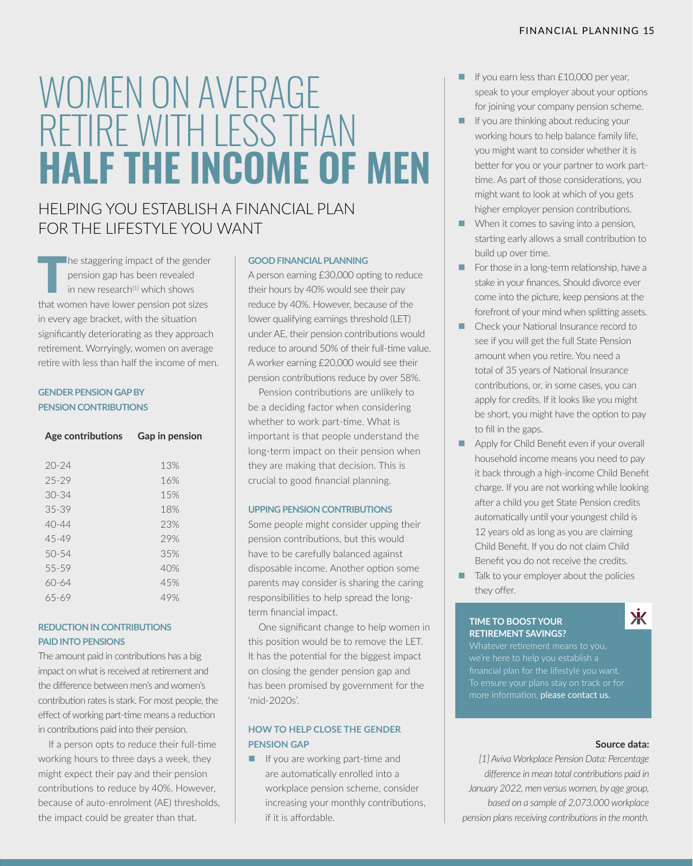# WOMEN ON AVERAGE RETIRE WITH LESS THAN **HALF THE INCOME OF MEN**

### HELPING YOU ESTABLISH A FINANCIAL PLAN FOR THE LIFESTYLE YOU WANT

 $\blacksquare$  he staggering impact of the gender pension gap has been revealed in new research<sup>[1]</sup> which shows that women have lower pension pot sizes in every age bracket, with the situation significantly deteriorating as they approach retirement. Worryingly, women on average retire with less than half the income of men.

#### **GENDER PENSION GAP BY PENSION CONTRIBUTIONS**

| Age contributions | Gap in pension |
|-------------------|----------------|
|                   |                |
| $20 - 24$         | 13%            |
| $25 - 29$         | 16%            |
| $30 - 34$         | 15%            |
| $35 - 39$         | 18%            |
| $40 - 44$         | 23%            |
| 45-49             | 29%            |
| $50 - 54$         | 35%            |
| 55-59             | 40%            |
| 60-64             | 45%            |
| 65-69             | 49%            |
|                   |                |

#### **REDUCTION IN CONTRIBUTIONS PAID INTO PENSIONS**

The amount paid in contributions has a big impact on what is received at retirement and the difference between men's and women's contribution rates is stark. For most people, the effect of working part-time means a reduction in contributions paid into their pension.

If a person opts to reduce their full-time working hours to three days a week, they might expect their pay and their pension contributions to reduce by 40%. However, because of auto-enrolment (AE) thresholds, the impact could be greater than that.

#### **GOOD FINANCIAL PLANNING**

A person earning £30,000 opting to reduce their hours by 40% would see their pay reduce by 40%. However, because of the lower qualifying earnings threshold (LET) under AE, their pension contributions would reduce to around 50% of their full-time value. A worker earning £20,000 would see their pension contributions reduce by over 58%.

Pension contributions are unlikely to be a deciding factor when considering whether to work part-time. What is important is that people understand the long-term impact on their pension when they are making that decision. This is crucial to good financial planning.

#### **UPPING PENSION CONTRIBUTIONS**

Some people might consider upping their pension contributions, but this would have to be carefully balanced against disposable income. Another option some parents may consider is sharing the caring responsibilities to help spread the longterm financial impact.

One significant change to help women in this position would be to remove the LET. It has the potential for the biggest impact on closing the gender pension gap and has been promised by government for the 'mid-2020s'.

#### **HOW TO HELP CLOSE THE GENDER PENSION GAP**

 $\blacksquare$  If you are working part-time and are automatically enrolled into a workplace pension scheme, consider increasing your monthly contributions, if it is affordable.

- $\blacksquare$  If you earn less than £10,000 per year, speak to your employer about your options for joining your company pension scheme.
- $\blacksquare$  If you are thinking about reducing your working hours to help balance family life, you might want to consider whether it is better for you or your partner to work parttime. As part of those considerations, you might want to look at which of you gets higher employer pension contributions.
- $\blacksquare$  When it comes to saving into a pension, starting early allows a small contribution to build up over time.
- $\blacksquare$  For those in a long-term relationship, have a stake in your finances. Should divorce ever come into the picture, keep pensions at the forefront of your mind when splitting assets.
- Check your National Insurance record to see if you will get the full State Pension amount when you retire. You need a total of 35 years of National Insurance contributions, or, in some cases, you can apply for credits. If it looks like you might be short, you might have the option to pay to fill in the gaps.
- Apply for Child Benefit even if your overall household income means you need to pay it back through a high-income Child Benefit charge. If you are not working while looking after a child you get State Pension credits automatically until your youngest child is 12 years old as long as you are claiming Child Benefit. If you do not claim Child Benefit you do not receive the credits.
- Talk to your employer about the policies they offer.

#### **TIME TO BOOST YOUR RETIREMENT SAVINGS?**



more information, please contact us.

#### **Source data:**

*[1] Aviva Workplace Pension Data: Percentage difference in mean total contributions paid in January 2022, men versus women, by age group, based on a sample of 2,073,000 workplace pension plans receiving contributions in the month.*